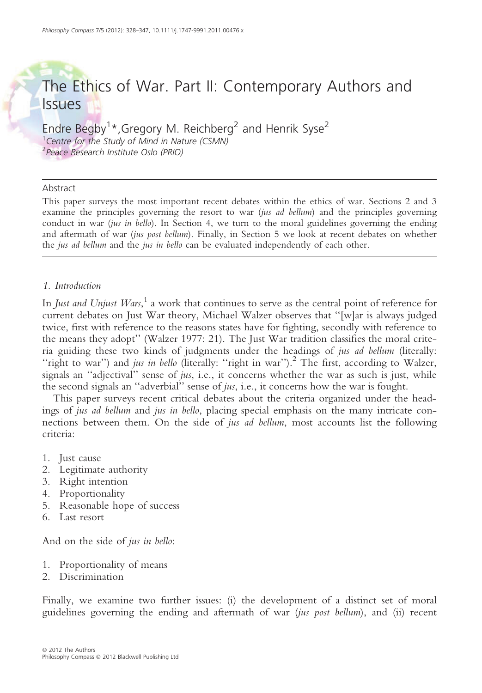# The Ethics of War. Part II: Contemporary Authors and Issues

Endre Begby<sup>1</sup>\*, Gregory M. Reichberg<sup>2</sup> and Henrik Syse<sup>2</sup> <sup>1</sup> Centre for the Study of Mind in Nature (CSMN) <sup>2</sup> Peace Research Institute Oslo (PRIO)

## Abstract

This paper surveys the most important recent debates within the ethics of war. Sections 2 and 3 examine the principles governing the resort to war (jus ad bellum) and the principles governing conduct in war (jus in bello). In Section 4, we turn to the moral guidelines governing the ending and aftermath of war (jus post bellum). Finally, in Section 5 we look at recent debates on whether the jus ad bellum and the jus in bello can be evaluated independently of each other.

## 1. Introduction

In Just and Unjust Wars, $^1$  a work that continues to serve as the central point of reference for current debates on Just War theory, Michael Walzer observes that ''[w]ar is always judged twice, first with reference to the reasons states have for fighting, secondly with reference to the means they adopt'' (Walzer 1977: 21). The Just War tradition classifies the moral criteria guiding these two kinds of judgments under the headings of jus ad bellum (literally: "right to war") and jus in bello (literally: "right in war").<sup>2</sup> The first, according to Walzer, signals an "adjectival" sense of *jus*, i.e., it concerns whether the war as such is just, while the second signals an ''adverbial'' sense of jus, i.e., it concerns how the war is fought.

This paper surveys recent critical debates about the criteria organized under the headings of jus ad bellum and jus in bello, placing special emphasis on the many intricate connections between them. On the side of jus ad bellum, most accounts list the following criteria:

- 1. Just cause
- 2. Legitimate authority
- 3. Right intention
- 4. Proportionality
- 5. Reasonable hope of success
- 6. Last resort

And on the side of jus in bello:

- 1. Proportionality of means
- 2. Discrimination

Finally, we examine two further issues: (i) the development of a distinct set of moral guidelines governing the ending and aftermath of war (jus post bellum), and (ii) recent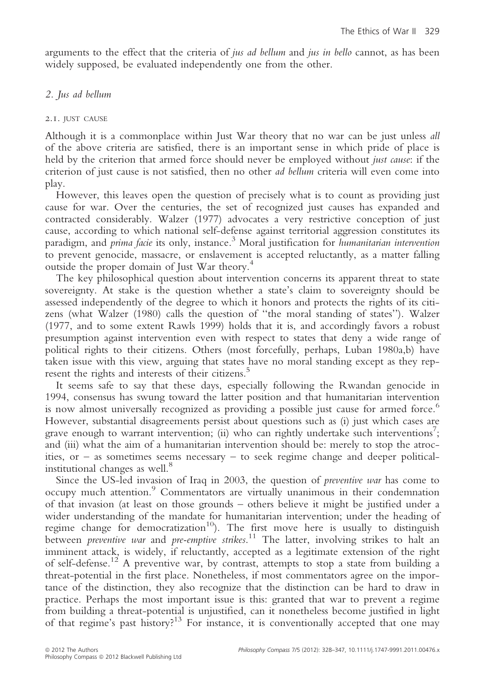arguments to the effect that the criteria of *jus ad bellum* and *jus in bello* cannot, as has been widely supposed, be evaluated independently one from the other.

# 2. Jus ad bellum

## 2.1. JUST CAUSE

Although it is a commonplace within Just War theory that no war can be just unless all of the above criteria are satisfied, there is an important sense in which pride of place is held by the criterion that armed force should never be employed without *just cause*: if the criterion of just cause is not satisfied, then no other ad bellum criteria will even come into play.

However, this leaves open the question of precisely what is to count as providing just cause for war. Over the centuries, the set of recognized just causes has expanded and contracted considerably. Walzer (1977) advocates a very restrictive conception of just cause, according to which national self-defense against territorial aggression constitutes its paradigm, and *prima facie* its only, instance.<sup>3</sup> Moral justification for *humanitarian intervention* to prevent genocide, massacre, or enslavement is accepted reluctantly, as a matter falling outside the proper domain of Just War theory.<sup>4</sup>

The key philosophical question about intervention concerns its apparent threat to state sovereignty. At stake is the question whether a state's claim to sovereignty should be assessed independently of the degree to which it honors and protects the rights of its citizens (what Walzer (1980) calls the question of ''the moral standing of states''). Walzer (1977, and to some extent Rawls 1999) holds that it is, and accordingly favors a robust presumption against intervention even with respect to states that deny a wide range of political rights to their citizens. Others (most forcefully, perhaps, Luban 1980a,b) have taken issue with this view, arguing that states have no moral standing except as they represent the rights and interests of their citizens.<sup>5</sup>

It seems safe to say that these days, especially following the Rwandan genocide in 1994, consensus has swung toward the latter position and that humanitarian intervention is now almost universally recognized as providing a possible just cause for armed force.<sup>6</sup> However, substantial disagreements persist about questions such as (i) just which cases are grave enough to warrant intervention; (ii) who can rightly undertake such interventions<sup>7</sup>; and (iii) what the aim of a humanitarian intervention should be: merely to stop the atrocities, or – as sometimes seems necessary – to seek regime change and deeper politicalinstitutional changes as well.<sup>8</sup>

Since the US-led invasion of Iraq in 2003, the question of preventive war has come to occupy much attention.<sup>9</sup> Commentators are virtually unanimous in their condemnation of that invasion (at least on those grounds – others believe it might be justified under a wider understanding of the mandate for humanitarian intervention; under the heading of regime change for democratization<sup>10</sup>). The first move here is usually to distinguish between *preventive war* and *pre-emptive strikes*.<sup>11</sup> The latter, involving strikes to halt an imminent attack, is widely, if reluctantly, accepted as a legitimate extension of the right of self-defense.12 A preventive war, by contrast, attempts to stop a state from building a threat-potential in the first place. Nonetheless, if most commentators agree on the importance of the distinction, they also recognize that the distinction can be hard to draw in practice. Perhaps the most important issue is this: granted that war to prevent a regime from building a threat-potential is unjustified, can it nonetheless become justified in light of that regime's past history?<sup>13</sup> For instance, it is conventionally accepted that one may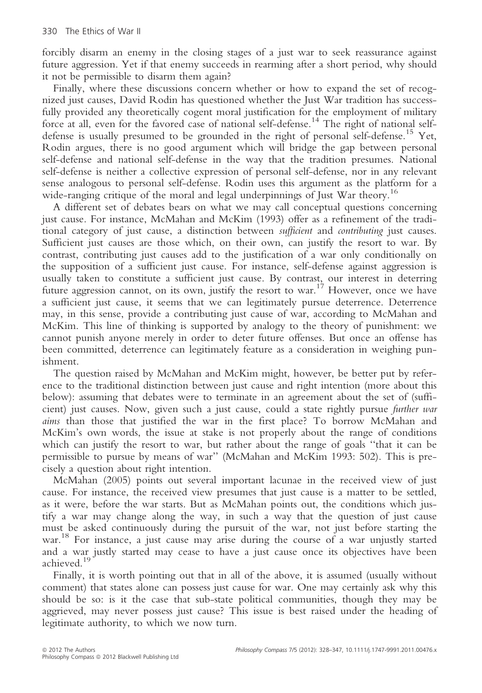forcibly disarm an enemy in the closing stages of a just war to seek reassurance against future aggression. Yet if that enemy succeeds in rearming after a short period, why should it not be permissible to disarm them again?

Finally, where these discussions concern whether or how to expand the set of recognized just causes, David Rodin has questioned whether the Just War tradition has successfully provided any theoretically cogent moral justification for the employment of military force at all, even for the favored case of national self-defense.<sup>14</sup> The right of national selfdefense is usually presumed to be grounded in the right of personal self-defense.<sup>15</sup> Yet, Rodin argues, there is no good argument which will bridge the gap between personal self-defense and national self-defense in the way that the tradition presumes. National self-defense is neither a collective expression of personal self-defense, nor in any relevant sense analogous to personal self-defense. Rodin uses this argument as the platform for a wide-ranging critique of the moral and legal underpinnings of Just War theory.<sup>16</sup>

A different set of debates bears on what we may call conceptual questions concerning just cause. For instance, McMahan and McKim (1993) offer as a refinement of the traditional category of just cause, a distinction between sufficient and contributing just causes. Sufficient just causes are those which, on their own, can justify the resort to war. By contrast, contributing just causes add to the justification of a war only conditionally on the supposition of a sufficient just cause. For instance, self-defense against aggression is usually taken to constitute a sufficient just cause. By contrast, our interest in deterring future aggression cannot, on its own, justify the resort to war.<sup>17</sup> However, once we have a sufficient just cause, it seems that we can legitimately pursue deterrence. Deterrence may, in this sense, provide a contributing just cause of war, according to McMahan and McKim. This line of thinking is supported by analogy to the theory of punishment: we cannot punish anyone merely in order to deter future offenses. But once an offense has been committed, deterrence can legitimately feature as a consideration in weighing punishment.

The question raised by McMahan and McKim might, however, be better put by reference to the traditional distinction between just cause and right intention (more about this below): assuming that debates were to terminate in an agreement about the set of (sufficient) just causes. Now, given such a just cause, could a state rightly pursue further war aims than those that justified the war in the first place? To borrow McMahan and McKim's own words, the issue at stake is not properly about the range of conditions which can justify the resort to war, but rather about the range of goals ''that it can be permissible to pursue by means of war'' (McMahan and McKim 1993: 502). This is precisely a question about right intention.

McMahan (2005) points out several important lacunae in the received view of just cause. For instance, the received view presumes that just cause is a matter to be settled, as it were, before the war starts. But as McMahan points out, the conditions which justify a war may change along the way, in such a way that the question of just cause must be asked continuously during the pursuit of the war, not just before starting the war. <sup>18</sup> For instance, a just cause may arise during the course of a war unjustly started and a war justly started may cease to have a just cause once its objectives have been achieved.<sup>19</sup>

Finally, it is worth pointing out that in all of the above, it is assumed (usually without comment) that states alone can possess just cause for war. One may certainly ask why this should be so: is it the case that sub-state political communities, though they may be aggrieved, may never possess just cause? This issue is best raised under the heading of legitimate authority, to which we now turn.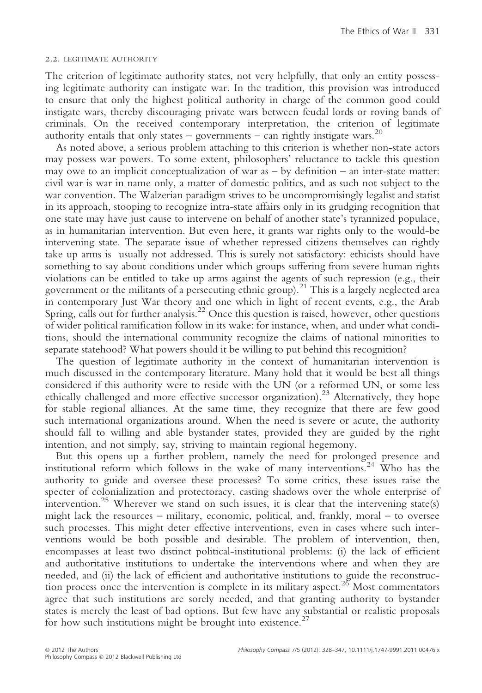#### 2.2. LEGITIMATE AUTHORITY

The criterion of legitimate authority states, not very helpfully, that only an entity possessing legitimate authority can instigate war. In the tradition, this provision was introduced to ensure that only the highest political authority in charge of the common good could instigate wars, thereby discouraging private wars between feudal lords or roving bands of criminals. On the received contemporary interpretation, the criterion of legitimate authority entails that only states – governments – can rightly instigate wars.<sup>20</sup>

As noted above, a serious problem attaching to this criterion is whether non-state actors may possess war powers. To some extent, philosophers' reluctance to tackle this question may owe to an implicit conceptualization of war as  $-$  by definition  $-$  an inter-state matter: civil war is war in name only, a matter of domestic politics, and as such not subject to the war convention. The Walzerian paradigm strives to be uncompromisingly legalist and statist in its approach, stooping to recognize intra-state affairs only in its grudging recognition that one state may have just cause to intervene on behalf of another state's tyrannized populace, as in humanitarian intervention. But even here, it grants war rights only to the would-be intervening state. The separate issue of whether repressed citizens themselves can rightly take up arms is usually not addressed. This is surely not satisfactory: ethicists should have something to say about conditions under which groups suffering from severe human rights violations can be entitled to take up arms against the agents of such repression (e.g., their government or the militants of a persecuting ethnic group).<sup>21</sup> This is a largely neglected area in contemporary Just War theory and one which in light of recent events, e.g., the Arab Spring, calls out for further analysis.<sup>22</sup> Once this question is raised, however, other questions of wider political ramification follow in its wake: for instance, when, and under what conditions, should the international community recognize the claims of national minorities to separate statehood? What powers should it be willing to put behind this recognition?

The question of legitimate authority in the context of humanitarian intervention is much discussed in the contemporary literature. Many hold that it would be best all things considered if this authority were to reside with the UN (or a reformed UN, or some less ethically challenged and more effective successor organization).<sup>23</sup> Alternatively, they hope for stable regional alliances. At the same time, they recognize that there are few good such international organizations around. When the need is severe or acute, the authority should fall to willing and able bystander states, provided they are guided by the right intention, and not simply, say, striving to maintain regional hegemony.

But this opens up a further problem, namely the need for prolonged presence and institutional reform which follows in the wake of many interventions.24 Who has the authority to guide and oversee these processes? To some critics, these issues raise the specter of colonialization and protectoracy, casting shadows over the whole enterprise of intervention.25 Wherever we stand on such issues, it is clear that the intervening state(s) might lack the resources – military, economic, political, and, frankly, moral – to oversee such processes. This might deter effective interventions, even in cases where such interventions would be both possible and desirable. The problem of intervention, then, encompasses at least two distinct political-institutional problems: (i) the lack of efficient and authoritative institutions to undertake the interventions where and when they are needed, and (ii) the lack of efficient and authoritative institutions to guide the reconstruction process once the intervention is complete in its military aspect.<sup>26</sup> Most commentators agree that such institutions are sorely needed, and that granting authority to bystander states is merely the least of bad options. But few have any substantial or realistic proposals for how such institutions might be brought into existence.<sup>27</sup>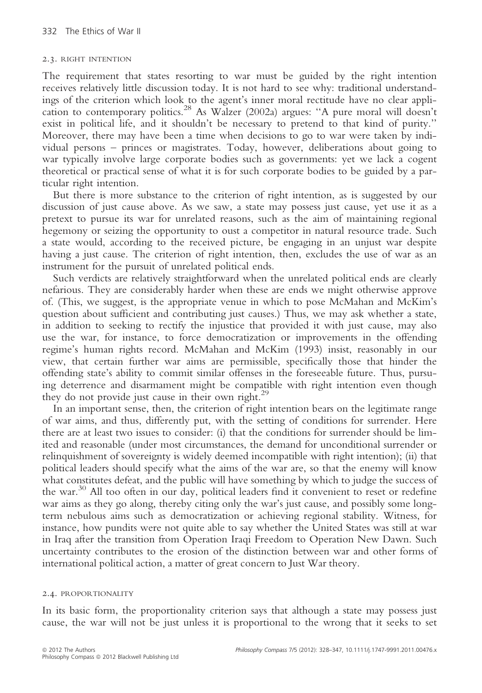### 2.3. RIGHT INTENTION

The requirement that states resorting to war must be guided by the right intention receives relatively little discussion today. It is not hard to see why: traditional understandings of the criterion which look to the agent's inner moral rectitude have no clear application to contemporary politics.<sup>28</sup> As Walzer (2002a) argues: "A pure moral will doesn't exist in political life, and it shouldn't be necessary to pretend to that kind of purity.'' Moreover, there may have been a time when decisions to go to war were taken by individual persons – princes or magistrates. Today, however, deliberations about going to war typically involve large corporate bodies such as governments: yet we lack a cogent theoretical or practical sense of what it is for such corporate bodies to be guided by a particular right intention.

But there is more substance to the criterion of right intention, as is suggested by our discussion of just cause above. As we saw, a state may possess just cause, yet use it as a pretext to pursue its war for unrelated reasons, such as the aim of maintaining regional hegemony or seizing the opportunity to oust a competitor in natural resource trade. Such a state would, according to the received picture, be engaging in an unjust war despite having a just cause. The criterion of right intention, then, excludes the use of war as an instrument for the pursuit of unrelated political ends.

Such verdicts are relatively straightforward when the unrelated political ends are clearly nefarious. They are considerably harder when these are ends we might otherwise approve of. (This, we suggest, is the appropriate venue in which to pose McMahan and McKim's question about sufficient and contributing just causes.) Thus, we may ask whether a state, in addition to seeking to rectify the injustice that provided it with just cause, may also use the war, for instance, to force democratization or improvements in the offending regime's human rights record. McMahan and McKim (1993) insist, reasonably in our view, that certain further war aims are permissible, specifically those that hinder the offending state's ability to commit similar offenses in the foreseeable future. Thus, pursuing deterrence and disarmament might be compatible with right intention even though they do not provide just cause in their own right. $^{29}$ 

In an important sense, then, the criterion of right intention bears on the legitimate range of war aims, and thus, differently put, with the setting of conditions for surrender. Here there are at least two issues to consider: (i) that the conditions for surrender should be limited and reasonable (under most circumstances, the demand for unconditional surrender or relinquishment of sovereignty is widely deemed incompatible with right intention); (ii) that political leaders should specify what the aims of the war are, so that the enemy will know what constitutes defeat, and the public will have something by which to judge the success of the war.<sup>30</sup> All too often in our day, political leaders find it convenient to reset or redefine war aims as they go along, thereby citing only the war's just cause, and possibly some longterm nebulous aims such as democratization or achieving regional stability. Witness, for instance, how pundits were not quite able to say whether the United States was still at war in Iraq after the transition from Operation Iraqi Freedom to Operation New Dawn. Such uncertainty contributes to the erosion of the distinction between war and other forms of international political action, a matter of great concern to Just War theory.

### 2.4. PROPORTIONALITY

In its basic form, the proportionality criterion says that although a state may possess just cause, the war will not be just unless it is proportional to the wrong that it seeks to set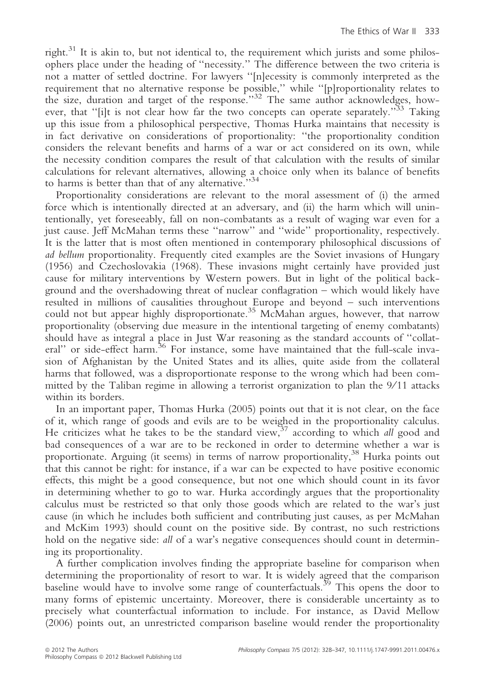right. $31$  It is akin to, but not identical to, the requirement which jurists and some philosophers place under the heading of ''necessity.'' The difference between the two criteria is not a matter of settled doctrine. For lawyers ''[n]ecessity is commonly interpreted as the requirement that no alternative response be possible,'' while ''[p]roportionality relates to the size, duration and target of the response."<sup>32</sup> The same author acknowledges, however, that "[i]t is not clear how far the two concepts can operate separately."<sup>33</sup> Taking up this issue from a philosophical perspective, Thomas Hurka maintains that necessity is in fact derivative on considerations of proportionality: ''the proportionality condition considers the relevant benefits and harms of a war or act considered on its own, while the necessity condition compares the result of that calculation with the results of similar calculations for relevant alternatives, allowing a choice only when its balance of benefits to harms is better than that of any alternative."34

Proportionality considerations are relevant to the moral assessment of (i) the armed force which is intentionally directed at an adversary, and (ii) the harm which will unintentionally, yet foreseeably, fall on non-combatants as a result of waging war even for a just cause. Jeff McMahan terms these ''narrow'' and ''wide'' proportionality, respectively. It is the latter that is most often mentioned in contemporary philosophical discussions of ad bellum proportionality. Frequently cited examples are the Soviet invasions of Hungary (1956) and Czechoslovakia (1968). These invasions might certainly have provided just cause for military interventions by Western powers. But in light of the political background and the overshadowing threat of nuclear conflagration – which would likely have resulted in millions of causalities throughout Europe and beyond – such interventions could not but appear highly disproportionate.<sup>35</sup> McMahan argues, however, that narrow proportionality (observing due measure in the intentional targeting of enemy combatants) should have as integral a place in Just War reasoning as the standard accounts of ''collateral" or side-effect harm.<sup>36</sup> For instance, some have maintained that the full-scale invasion of Afghanistan by the United States and its allies, quite aside from the collateral harms that followed, was a disproportionate response to the wrong which had been committed by the Taliban regime in allowing a terrorist organization to plan the 9/11 attacks within its borders.

In an important paper, Thomas Hurka (2005) points out that it is not clear, on the face of it, which range of goods and evils are to be weighed in the proportionality calculus. He criticizes what he takes to be the standard view,  $37$  according to which all good and bad consequences of a war are to be reckoned in order to determine whether a war is proportionate. Arguing (it seems) in terms of narrow proportionality,<sup>38</sup> Hurka points out that this cannot be right: for instance, if a war can be expected to have positive economic effects, this might be a good consequence, but not one which should count in its favor in determining whether to go to war. Hurka accordingly argues that the proportionality calculus must be restricted so that only those goods which are related to the war's just cause (in which he includes both sufficient and contributing just causes, as per McMahan and McKim 1993) should count on the positive side. By contrast, no such restrictions hold on the negative side: *all* of a war's negative consequences should count in determining its proportionality.

A further complication involves finding the appropriate baseline for comparison when determining the proportionality of resort to war. It is widely agreed that the comparison baseline would have to involve some range of counterfactuals.<sup>39</sup> This opens the door to many forms of epistemic uncertainty. Moreover, there is considerable uncertainty as to precisely what counterfactual information to include. For instance, as David Mellow (2006) points out, an unrestricted comparison baseline would render the proportionality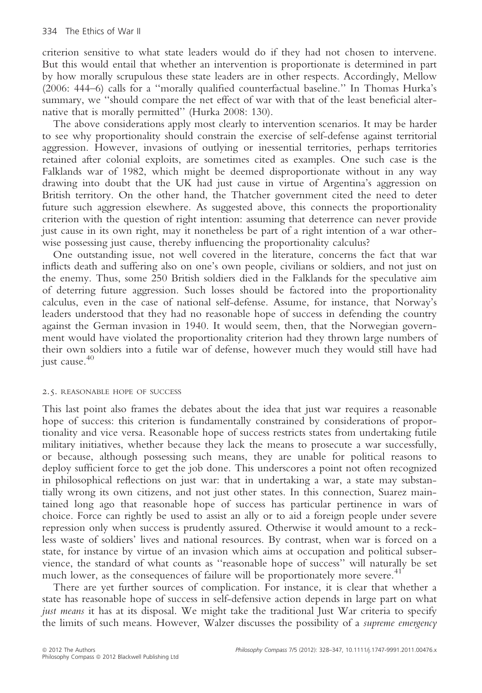criterion sensitive to what state leaders would do if they had not chosen to intervene. But this would entail that whether an intervention is proportionate is determined in part by how morally scrupulous these state leaders are in other respects. Accordingly, Mellow (2006: 444–6) calls for a ''morally qualified counterfactual baseline.'' In Thomas Hurka's summary, we ''should compare the net effect of war with that of the least beneficial alternative that is morally permitted'' (Hurka 2008: 130).

The above considerations apply most clearly to intervention scenarios. It may be harder to see why proportionality should constrain the exercise of self-defense against territorial aggression. However, invasions of outlying or inessential territories, perhaps territories retained after colonial exploits, are sometimes cited as examples. One such case is the Falklands war of 1982, which might be deemed disproportionate without in any way drawing into doubt that the UK had just cause in virtue of Argentina's aggression on British territory. On the other hand, the Thatcher government cited the need to deter future such aggression elsewhere. As suggested above, this connects the proportionality criterion with the question of right intention: assuming that deterrence can never provide just cause in its own right, may it nonetheless be part of a right intention of a war otherwise possessing just cause, thereby influencing the proportionality calculus?

One outstanding issue, not well covered in the literature, concerns the fact that war inflicts death and suffering also on one's own people, civilians or soldiers, and not just on the enemy. Thus, some 250 British soldiers died in the Falklands for the speculative aim of deterring future aggression. Such losses should be factored into the proportionality calculus, even in the case of national self-defense. Assume, for instance, that Norway's leaders understood that they had no reasonable hope of success in defending the country against the German invasion in 1940. It would seem, then, that the Norwegian government would have violated the proportionality criterion had they thrown large numbers of their own soldiers into a futile war of defense, however much they would still have had just cause.<sup>40</sup>

## 2.5. REASONABLE HOPE OF SUCCESS

This last point also frames the debates about the idea that just war requires a reasonable hope of success: this criterion is fundamentally constrained by considerations of proportionality and vice versa. Reasonable hope of success restricts states from undertaking futile military initiatives, whether because they lack the means to prosecute a war successfully, or because, although possessing such means, they are unable for political reasons to deploy sufficient force to get the job done. This underscores a point not often recognized in philosophical reflections on just war: that in undertaking a war, a state may substantially wrong its own citizens, and not just other states. In this connection, Suarez maintained long ago that reasonable hope of success has particular pertinence in wars of choice. Force can rightly be used to assist an ally or to aid a foreign people under severe repression only when success is prudently assured. Otherwise it would amount to a reckless waste of soldiers' lives and national resources. By contrast, when war is forced on a state, for instance by virtue of an invasion which aims at occupation and political subservience, the standard of what counts as ''reasonable hope of success'' will naturally be set much lower, as the consequences of failure will be proportionately more severe.<sup>41</sup>

There are yet further sources of complication. For instance, it is clear that whether a state has reasonable hope of success in self-defensive action depends in large part on what just means it has at its disposal. We might take the traditional Just War criteria to specify the limits of such means. However, Walzer discusses the possibility of a supreme emergency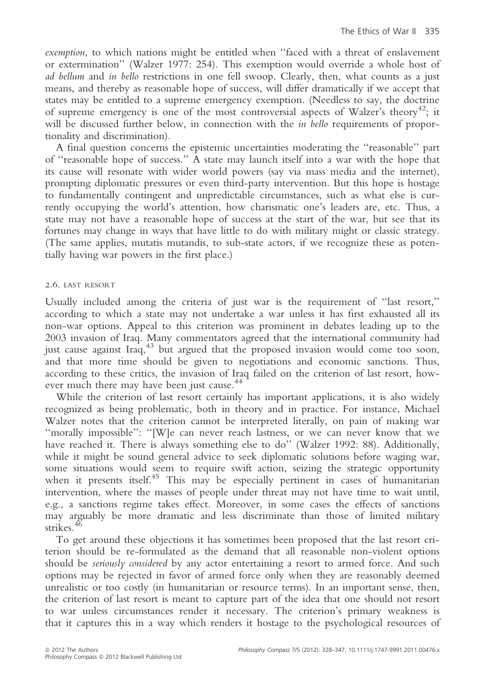exemption, to which nations might be entitled when ''faced with a threat of enslavement or extermination'' (Walzer 1977: 254). This exemption would override a whole host of ad bellum and in bello restrictions in one fell swoop. Clearly, then, what counts as a just means, and thereby as reasonable hope of success, will differ dramatically if we accept that states may be entitled to a supreme emergency exemption. (Needless to say, the doctrine of supreme emergency is one of the most controversial aspects of Walzer's theory<sup>42</sup>; it will be discussed further below, in connection with the *in bello* requirements of proportionality and discrimination).

A final question concerns the epistemic uncertainties moderating the ''reasonable'' part of ''reasonable hope of success.'' A state may launch itself into a war with the hope that its cause will resonate with wider world powers (say via mass media and the internet), prompting diplomatic pressures or even third-party intervention. But this hope is hostage to fundamentally contingent and unpredictable circumstances, such as what else is currently occupying the world's attention, how charismatic one's leaders are, etc. Thus, a state may not have a reasonable hope of success at the start of the war, but see that its fortunes may change in ways that have little to do with military might or classic strategy. (The same applies, mutatis mutandis, to sub-state actors, if we recognize these as potentially having war powers in the first place.)

## 2.6. LAST RESORT

Usually included among the criteria of just war is the requirement of ''last resort,'' according to which a state may not undertake a war unless it has first exhausted all its non-war options. Appeal to this criterion was prominent in debates leading up to the 2003 invasion of Iraq. Many commentators agreed that the international community had just cause against Iraq,<sup>43</sup> but argued that the proposed invasion would come too soon, and that more time should be given to negotiations and economic sanctions. Thus, according to these critics, the invasion of Iraq failed on the criterion of last resort, however much there may have been just cause.<sup>44</sup>

While the criterion of last resort certainly has important applications, it is also widely recognized as being problematic, both in theory and in practice. For instance, Michael Walzer notes that the criterion cannot be interpreted literally, on pain of making war ''morally impossible'': ''[W]e can never reach lastness, or we can never know that we have reached it. There is always something else to do'' (Walzer 1992: 88). Additionally, while it might be sound general advice to seek diplomatic solutions before waging war, some situations would seem to require swift action, seizing the strategic opportunity when it presents itself. $45$  This may be especially pertinent in cases of humanitarian intervention, where the masses of people under threat may not have time to wait until, e.g., a sanctions regime takes effect. Moreover, in some cases the effects of sanctions may arguably be more dramatic and less discriminate than those of limited military strikes.<sup>4</sup>

To get around these objections it has sometimes been proposed that the last resort criterion should be re-formulated as the demand that all reasonable non-violent options should be *seriously considered* by any actor entertaining a resort to armed force. And such options may be rejected in favor of armed force only when they are reasonably deemed unrealistic or too costly (in humanitarian or resource terms). In an important sense, then, the criterion of last resort is meant to capture part of the idea that one should not resort to war unless circumstances render it necessary. The criterion's primary weakness is that it captures this in a way which renders it hostage to the psychological resources of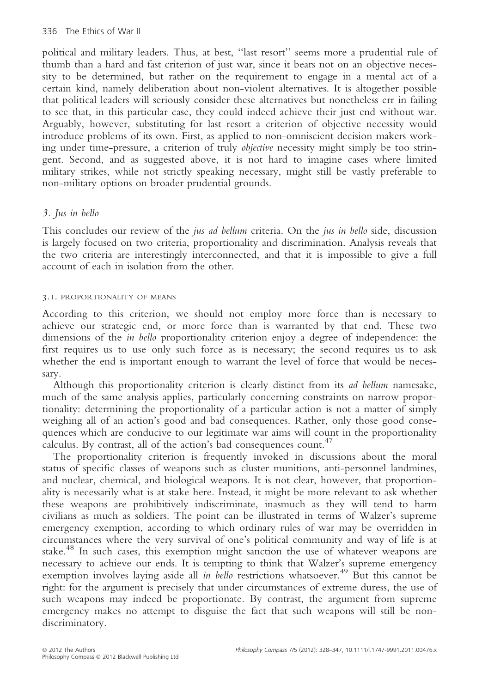political and military leaders. Thus, at best, ''last resort'' seems more a prudential rule of thumb than a hard and fast criterion of just war, since it bears not on an objective necessity to be determined, but rather on the requirement to engage in a mental act of a certain kind, namely deliberation about non-violent alternatives. It is altogether possible that political leaders will seriously consider these alternatives but nonetheless err in failing to see that, in this particular case, they could indeed achieve their just end without war. Arguably, however, substituting for last resort a criterion of objective necessity would introduce problems of its own. First, as applied to non-omniscient decision makers working under time-pressure, a criterion of truly objective necessity might simply be too stringent. Second, and as suggested above, it is not hard to imagine cases where limited military strikes, while not strictly speaking necessary, might still be vastly preferable to non-military options on broader prudential grounds.

# 3. Jus in bello

This concludes our review of the *jus ad bellum* criteria. On the *jus in bello* side, discussion is largely focused on two criteria, proportionality and discrimination. Analysis reveals that the two criteria are interestingly interconnected, and that it is impossible to give a full account of each in isolation from the other.

# 3.1. PROPORTIONALITY OF MEANS

According to this criterion, we should not employ more force than is necessary to achieve our strategic end, or more force than is warranted by that end. These two dimensions of the in bello proportionality criterion enjoy a degree of independence: the first requires us to use only such force as is necessary; the second requires us to ask whether the end is important enough to warrant the level of force that would be necessary.

Although this proportionality criterion is clearly distinct from its ad bellum namesake, much of the same analysis applies, particularly concerning constraints on narrow proportionality: determining the proportionality of a particular action is not a matter of simply weighing all of an action's good and bad consequences. Rather, only those good consequences which are conducive to our legitimate war aims will count in the proportionality calculus. By contrast, all of the action's bad consequences count. $47$ 

The proportionality criterion is frequently invoked in discussions about the moral status of specific classes of weapons such as cluster munitions, anti-personnel landmines, and nuclear, chemical, and biological weapons. It is not clear, however, that proportionality is necessarily what is at stake here. Instead, it might be more relevant to ask whether these weapons are prohibitively indiscriminate, inasmuch as they will tend to harm civilians as much as soldiers. The point can be illustrated in terms of Walzer's supreme emergency exemption, according to which ordinary rules of war may be overridden in circumstances where the very survival of one's political community and way of life is at stake.<sup>48</sup> In such cases, this exemption might sanction the use of whatever weapons are necessary to achieve our ends. It is tempting to think that Walzer's supreme emergency exemption involves laying aside all in bello restrictions whatsoever.<sup>49</sup> But this cannot be right: for the argument is precisely that under circumstances of extreme duress, the use of such weapons may indeed be proportionate. By contrast, the argument from supreme emergency makes no attempt to disguise the fact that such weapons will still be nondiscriminatory.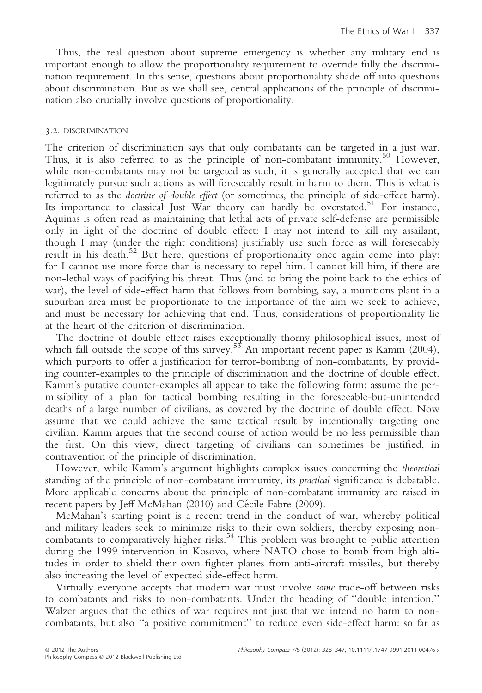Thus, the real question about supreme emergency is whether any military end is important enough to allow the proportionality requirement to override fully the discrimination requirement. In this sense, questions about proportionality shade off into questions about discrimination. But as we shall see, central applications of the principle of discrimination also crucially involve questions of proportionality.

## 3.2. DISCRIMINATION

The criterion of discrimination says that only combatants can be targeted in a just war. Thus, it is also referred to as the principle of non-combatant immunity.<sup>50</sup> However, while non-combatants may not be targeted as such, it is generally accepted that we can legitimately pursue such actions as will foreseeably result in harm to them. This is what is referred to as the doctrine of double effect (or sometimes, the principle of side-effect harm). Its importance to classical Just War theory can hardly be overstated. $51$  For instance, Aquinas is often read as maintaining that lethal acts of private self-defense are permissible only in light of the doctrine of double effect: I may not intend to kill my assailant, though I may (under the right conditions) justifiably use such force as will foreseeably result in his death.<sup>52</sup> But here, questions of proportionality once again come into play: for I cannot use more force than is necessary to repel him. I cannot kill him, if there are non-lethal ways of pacifying his threat. Thus (and to bring the point back to the ethics of war), the level of side-effect harm that follows from bombing, say, a munitions plant in a suburban area must be proportionate to the importance of the aim we seek to achieve, and must be necessary for achieving that end. Thus, considerations of proportionality lie at the heart of the criterion of discrimination.

The doctrine of double effect raises exceptionally thorny philosophical issues, most of which fall outside the scope of this survey.<sup>53</sup> An important recent paper is Kamm (2004), which purports to offer a justification for terror-bombing of non-combatants, by providing counter-examples to the principle of discrimination and the doctrine of double effect. Kamm's putative counter-examples all appear to take the following form: assume the permissibility of a plan for tactical bombing resulting in the foreseeable-but-unintended deaths of a large number of civilians, as covered by the doctrine of double effect. Now assume that we could achieve the same tactical result by intentionally targeting one civilian. Kamm argues that the second course of action would be no less permissible than the first. On this view, direct targeting of civilians can sometimes be justified, in contravention of the principle of discrimination.

However, while Kamm's argument highlights complex issues concerning the theoretical standing of the principle of non-combatant immunity, its practical significance is debatable. More applicable concerns about the principle of non-combatant immunity are raised in recent papers by Jeff McMahan (2010) and Cécile Fabre (2009).

McMahan's starting point is a recent trend in the conduct of war, whereby political and military leaders seek to minimize risks to their own soldiers, thereby exposing noncombatants to comparatively higher risks.<sup>54</sup> This problem was brought to public attention during the 1999 intervention in Kosovo, where NATO chose to bomb from high altitudes in order to shield their own fighter planes from anti-aircraft missiles, but thereby also increasing the level of expected side-effect harm.

Virtually everyone accepts that modern war must involve some trade-off between risks to combatants and risks to non-combatants. Under the heading of ''double intention,'' Walzer argues that the ethics of war requires not just that we intend no harm to noncombatants, but also ''a positive commitment'' to reduce even side-effect harm: so far as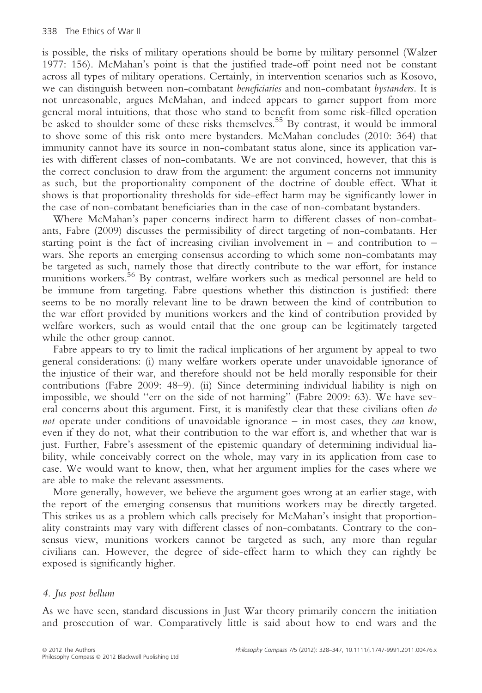is possible, the risks of military operations should be borne by military personnel (Walzer 1977: 156). McMahan's point is that the justified trade-off point need not be constant across all types of military operations. Certainly, in intervention scenarios such as Kosovo, we can distinguish between non-combatant beneficiaries and non-combatant bystanders. It is not unreasonable, argues McMahan, and indeed appears to garner support from more general moral intuitions, that those who stand to benefit from some risk-filled operation be asked to shoulder some of these risks themselves.<sup>55</sup> By contrast, it would be immoral to shove some of this risk onto mere bystanders. McMahan concludes (2010: 364) that immunity cannot have its source in non-combatant status alone, since its application varies with different classes of non-combatants. We are not convinced, however, that this is the correct conclusion to draw from the argument: the argument concerns not immunity as such, but the proportionality component of the doctrine of double effect. What it shows is that proportionality thresholds for side-effect harm may be significantly lower in the case of non-combatant beneficiaries than in the case of non-combatant bystanders.

Where McMahan's paper concerns indirect harm to different classes of non-combatants, Fabre (2009) discusses the permissibility of direct targeting of non-combatants. Her starting point is the fact of increasing civilian involvement in  $-$  and contribution to  $$ wars. She reports an emerging consensus according to which some non-combatants may be targeted as such, namely those that directly contribute to the war effort, for instance munitions workers.56 By contrast, welfare workers such as medical personnel are held to be immune from targeting. Fabre questions whether this distinction is justified: there seems to be no morally relevant line to be drawn between the kind of contribution to the war effort provided by munitions workers and the kind of contribution provided by welfare workers, such as would entail that the one group can be legitimately targeted while the other group cannot.

Fabre appears to try to limit the radical implications of her argument by appeal to two general considerations: (i) many welfare workers operate under unavoidable ignorance of the injustice of their war, and therefore should not be held morally responsible for their contributions (Fabre 2009: 48–9). (ii) Since determining individual liability is nigh on impossible, we should ''err on the side of not harming'' (Fabre 2009: 63). We have several concerns about this argument. First, it is manifestly clear that these civilians often do not operate under conditions of unavoidable ignorance  $-$  in most cases, they *can* know, even if they do not, what their contribution to the war effort is, and whether that war is just. Further, Fabre's assessment of the epistemic quandary of determining individual liability, while conceivably correct on the whole, may vary in its application from case to case. We would want to know, then, what her argument implies for the cases where we are able to make the relevant assessments.

More generally, however, we believe the argument goes wrong at an earlier stage, with the report of the emerging consensus that munitions workers may be directly targeted. This strikes us as a problem which calls precisely for McMahan's insight that proportionality constraints may vary with different classes of non-combatants. Contrary to the consensus view, munitions workers cannot be targeted as such, any more than regular civilians can. However, the degree of side-effect harm to which they can rightly be exposed is significantly higher.

# 4. Jus post bellum

As we have seen, standard discussions in Just War theory primarily concern the initiation and prosecution of war. Comparatively little is said about how to end wars and the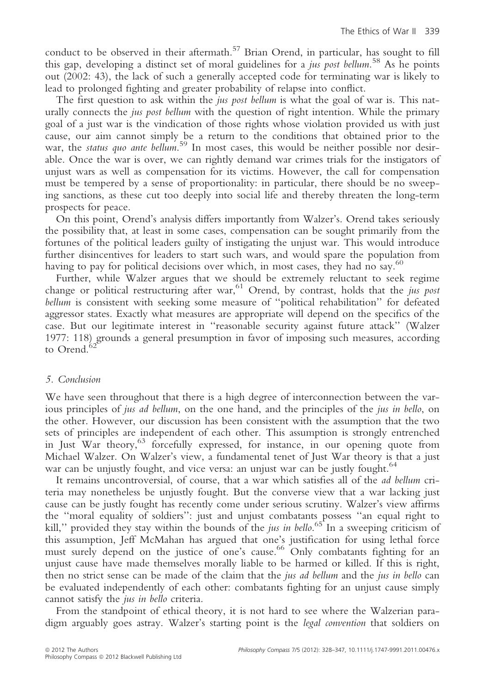conduct to be observed in their aftermath.<sup>57</sup> Brian Orend, in particular, has sought to fill this gap, developing a distinct set of moral guidelines for a *jus post bellum*.<sup>58</sup> As he points out (2002: 43), the lack of such a generally accepted code for terminating war is likely to lead to prolonged fighting and greater probability of relapse into conflict.

The first question to ask within the *jus post bellum* is what the goal of war is. This naturally connects the jus post bellum with the question of right intention. While the primary goal of a just war is the vindication of those rights whose violation provided us with just cause, our aim cannot simply be a return to the conditions that obtained prior to the war, the status quo ante bellum.<sup>59</sup> In most cases, this would be neither possible nor desirable. Once the war is over, we can rightly demand war crimes trials for the instigators of unjust wars as well as compensation for its victims. However, the call for compensation must be tempered by a sense of proportionality: in particular, there should be no sweeping sanctions, as these cut too deeply into social life and thereby threaten the long-term prospects for peace.

On this point, Orend's analysis differs importantly from Walzer's. Orend takes seriously the possibility that, at least in some cases, compensation can be sought primarily from the fortunes of the political leaders guilty of instigating the unjust war. This would introduce further disincentives for leaders to start such wars, and would spare the population from having to pay for political decisions over which, in most cases, they had no say.<sup>60</sup>

Further, while Walzer argues that we should be extremely reluctant to seek regime change or political restructuring after war,  $61$  Orend, by contrast, holds that the jus post bellum is consistent with seeking some measure of ''political rehabilitation'' for defeated aggressor states. Exactly what measures are appropriate will depend on the specifics of the case. But our legitimate interest in ''reasonable security against future attack'' (Walzer 1977: 118) grounds a general presumption in favor of imposing such measures, according to Orend.<sup>4</sup>

## 5. Conclusion

We have seen throughout that there is a high degree of interconnection between the various principles of *jus ad bellum*, on the one hand, and the principles of the *jus in bello*, on the other. However, our discussion has been consistent with the assumption that the two sets of principles are independent of each other. This assumption is strongly entrenched in Just War theory,  $63$  forcefully expressed, for instance, in our opening quote from Michael Walzer. On Walzer's view, a fundamental tenet of Just War theory is that a just war can be unjustly fought, and vice versa: an unjust war can be justly fought.<sup>64</sup>

It remains uncontroversial, of course, that a war which satisfies all of the ad bellum criteria may nonetheless be unjustly fought. But the converse view that a war lacking just cause can be justly fought has recently come under serious scrutiny. Walzer's view affirms the ''moral equality of soldiers'': just and unjust combatants possess ''an equal right to kill," provided they stay within the bounds of the *jus in bello*.<sup>65</sup> In a sweeping criticism of this assumption, Jeff McMahan has argued that one's justification for using lethal force must surely depend on the justice of one's cause.<sup>66</sup> Only combatants fighting for an unjust cause have made themselves morally liable to be harmed or killed. If this is right, then no strict sense can be made of the claim that the jus ad bellum and the jus in bello can be evaluated independently of each other: combatants fighting for an unjust cause simply cannot satisfy the jus in bello criteria.

From the standpoint of ethical theory, it is not hard to see where the Walzerian paradigm arguably goes astray. Walzer's starting point is the legal convention that soldiers on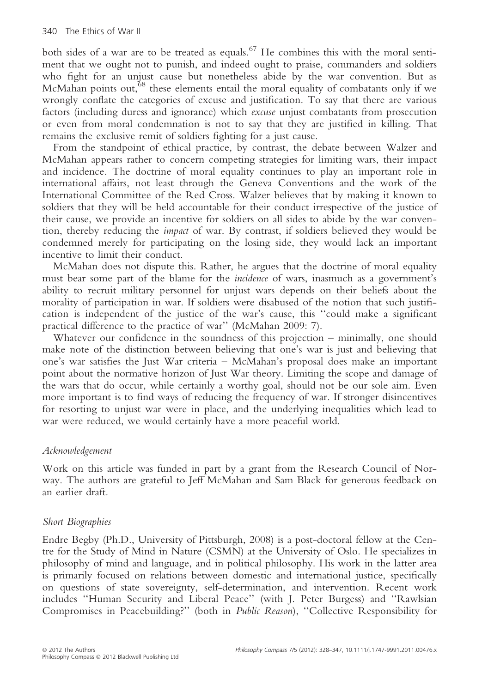both sides of a war are to be treated as equals.<sup>67</sup> He combines this with the moral sentiment that we ought not to punish, and indeed ought to praise, commanders and soldiers who fight for an unjust cause but nonetheless abide by the war convention. But as McMahan points out, $68$  these elements entail the moral equality of combatants only if we wrongly conflate the categories of excuse and justification. To say that there are various factors (including duress and ignorance) which excuse unjust combatants from prosecution or even from moral condemnation is not to say that they are justified in killing. That remains the exclusive remit of soldiers fighting for a just cause.

From the standpoint of ethical practice, by contrast, the debate between Walzer and McMahan appears rather to concern competing strategies for limiting wars, their impact and incidence. The doctrine of moral equality continues to play an important role in international affairs, not least through the Geneva Conventions and the work of the International Committee of the Red Cross. Walzer believes that by making it known to soldiers that they will be held accountable for their conduct irrespective of the justice of their cause, we provide an incentive for soldiers on all sides to abide by the war convention, thereby reducing the impact of war. By contrast, if soldiers believed they would be condemned merely for participating on the losing side, they would lack an important incentive to limit their conduct.

McMahan does not dispute this. Rather, he argues that the doctrine of moral equality must bear some part of the blame for the incidence of wars, inasmuch as a government's ability to recruit military personnel for unjust wars depends on their beliefs about the morality of participation in war. If soldiers were disabused of the notion that such justification is independent of the justice of the war's cause, this ''could make a significant practical difference to the practice of war'' (McMahan 2009: 7).

Whatever our confidence in the soundness of this projection – minimally, one should make note of the distinction between believing that one's war is just and believing that one's war satisfies the Just War criteria – McMahan's proposal does make an important point about the normative horizon of Just War theory. Limiting the scope and damage of the wars that do occur, while certainly a worthy goal, should not be our sole aim. Even more important is to find ways of reducing the frequency of war. If stronger disincentives for resorting to unjust war were in place, and the underlying inequalities which lead to war were reduced, we would certainly have a more peaceful world.

# Acknowledgement

Work on this article was funded in part by a grant from the Research Council of Norway. The authors are grateful to Jeff McMahan and Sam Black for generous feedback on an earlier draft.

# Short Biographies

Endre Begby (Ph.D., University of Pittsburgh, 2008) is a post-doctoral fellow at the Centre for the Study of Mind in Nature (CSMN) at the University of Oslo. He specializes in philosophy of mind and language, and in political philosophy. His work in the latter area is primarily focused on relations between domestic and international justice, specifically on questions of state sovereignty, self-determination, and intervention. Recent work includes ''Human Security and Liberal Peace'' (with J. Peter Burgess) and ''Rawlsian Compromises in Peacebuilding?'' (both in Public Reason), ''Collective Responsibility for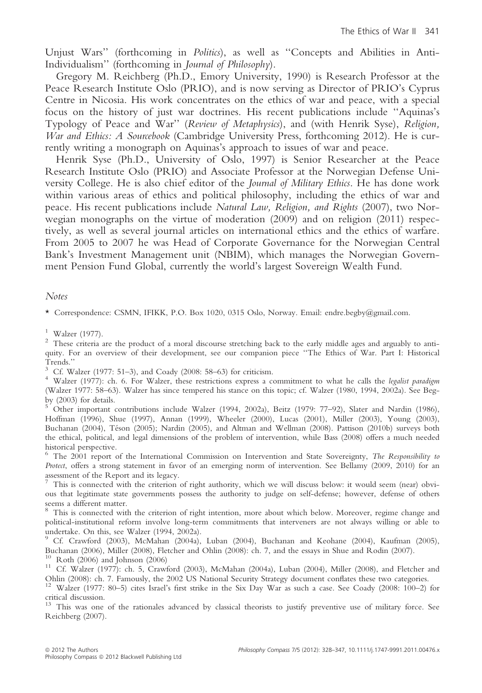Unjust Wars'' (forthcoming in Politics), as well as ''Concepts and Abilities in Anti-Individualism'' (forthcoming in Journal of Philosophy).

Gregory M. Reichberg (Ph.D., Emory University, 1990) is Research Professor at the Peace Research Institute Oslo (PRIO), and is now serving as Director of PRIO's Cyprus Centre in Nicosia. His work concentrates on the ethics of war and peace, with a special focus on the history of just war doctrines. His recent publications include ''Aquinas's Typology of Peace and War'' (Review of Metaphysics), and (with Henrik Syse), Religion, War and Ethics: A Sourcebook (Cambridge University Press, forthcoming 2012). He is currently writing a monograph on Aquinas's approach to issues of war and peace.

Henrik Syse (Ph.D., University of Oslo, 1997) is Senior Researcher at the Peace Research Institute Oslo (PRIO) and Associate Professor at the Norwegian Defense University College. He is also chief editor of the Journal of Military Ethics. He has done work within various areas of ethics and political philosophy, including the ethics of war and peace. His recent publications include Natural Law, Religion, and Rights (2007), two Norwegian monographs on the virtue of moderation (2009) and on religion (2011) respectively, as well as several journal articles on international ethics and the ethics of warfare. From 2005 to 2007 he was Head of Corporate Governance for the Norwegian Central Bank's Investment Management unit (NBIM), which manages the Norwegian Government Pension Fund Global, currently the world's largest Sovereign Wealth Fund.

### Notes

\* Correspondence: CSMN, IFIKK, P.O. Box 1020, 0315 Oslo, Norway. Email: endre.begby@gmail.com.

<sup>1</sup> Walzer (1977).<br><sup>2</sup> These criteria are the product of a moral discourse stretching back to the early middle ages and arguably to antiquity. For an overview of their development, see our companion piece ''The Ethics of War. Part I: Historical Trends."<br> $3 \text{ Cf. Walzer (1977: 51–3), and Coadv (2008: 58–63) for criticism.}$ 

<sup>4</sup> Walzer (1977): ch. 6. For Walzer, these restrictions express a commitment to what he calls the legalist paradigm (Walzer 1977: 58–63). Walzer has since tempered his stance on this topic; cf. Walzer (1980, 1994, 2002a). See Begby (2003) for details.

<sup>5</sup> Other important contributions include Walzer (1994, 2002a), Beitz (1979: 77–92), Slater and Nardin (1986), Hoffman (1996), Shue (1997), Annan (1999), Wheeler (2000), Lucas (2001), Miller (2003), Young (2003), Buchanan (2004), Téson (2005); Nardin (2005), and Altman and Wellman (2008). Pattison (2010b) surveys both the ethical, political, and legal dimensions of the problem of intervention, while Bass (2008) offers a much needed historical perspective.

<sup>6</sup> The 2001 report of the International Commission on Intervention and State Sovereignty, The Responsibility to Protect, offers a strong statement in favor of an emerging norm of intervention. See Bellamy (2009, 2010) for an assessment of the Report and its legacy.

<sup>7</sup> This is connected with the criterion of right authority, which we will discuss below: it would seem (near) obvious that legitimate state governments possess the authority to judge on self-defense; however, defense of others seems a different matter.

<sup>8</sup> This is connected with the criterion of right intention, more about which below. Moreover, regime change and political-institutional reform involve long-term commitments that interveners are not always willing or able to undertake. On this, see Walzer (1994, 2002a).

 $9$  Cf. Crawford (2003), McMahan (2004a), Luban (2004), Buchanan and Keohane (2004), Kaufman (2005), Buchanan (2006), Miller (2008), Fletcher and Ohlin (2008): ch. 7, and the essays in Shue and Rodin (2007).<br><sup>10</sup> Roth (2006) and Johnson (2006)

<sup>11</sup> Cf. Walzer (1977): ch. 5, Crawford (2003), McMahan (2004a), Luban (2004), Miller (2008), and Fletcher and Ohlin (2008): ch. 7. Famously, the 2002 US National Security Strategy document conflates these two categories.

<sup>12</sup> Walzer (1977: 80–5) cites Israel's first strike in the Six Day War as such a case. See Coady (2008: 100–2) for critical discussion.

<sup>13</sup> This was one of the rationales advanced by classical theorists to justify preventive use of military force. See Reichberg (2007).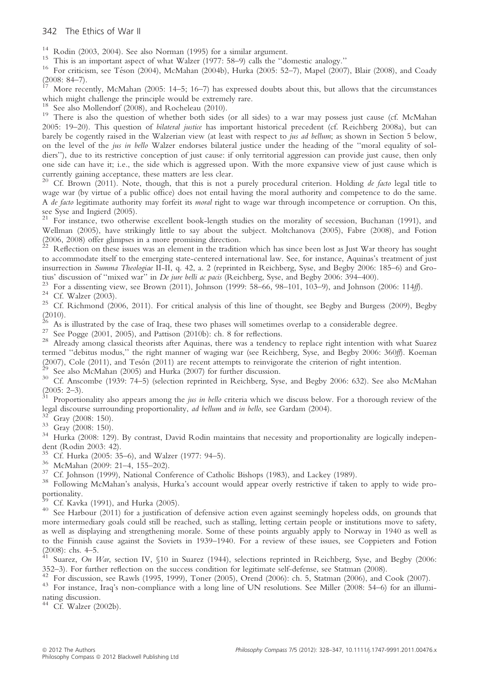<sup>14</sup> Rodin (2003, 2004). See also Norman (1995) for a similar argument.<br><sup>15</sup> This is an important aspect of what Walzer (1977: 58–9) calls the "domestic analogy."<br><sup>16</sup> For criticism, see Téson (2004), McMahan (2004b), Hur  $(2008: 84-7).$ 

<sup>17</sup> More recently, McMahan (2005: 14–5; 16–7) has expressed doubts about this, but allows that the circumstances which might challenge the principle would be extremely rare.<br><sup>18</sup> See also Mollendorf (2008), and Rocheleau (2010).

<sup>19</sup> There is also the question of whether both sides (or all sides) to a war may possess just cause (cf. McMahan 2005: 19–20). This question of bilateral justice has important historical precedent (cf. Reichberg 2008a), but can barely be cogently raised in the Walzerian view (at least with respect to jus ad bellum; as shown in Section 5 below, on the level of the jus in bello Walzer endorses bilateral justice under the heading of the ''moral equality of soldiers''), due to its restrictive conception of just cause: if only territorial aggression can provide just cause, then only one side can have it; i.e., the side which is aggressed upon. With the more expansive view of just cause which is currently gaining acceptance, these matters are less clear.

Cf. Brown (2011). Note, though, that this is not a purely procedural criterion. Holding de facto legal title to wage war (by virtue of a public office) does not entail having the moral authority and competence to do the same. A de facto legitimate authority may forfeit its moral right to wage war through incompetence or corruption. On this, see Syse and Ingierd (2005).

<sup>21</sup> For instance, two otherwise excellent book-length studies on the morality of secession, Buchanan (1991), and Wellman (2005), have strikingly little to say about the subject. Moltchanova (2005), Fabre (2008), and Fotion (2006, 2008) offer glimpses in a more promising direction.

Reflection on these issues was an element in the tradition which has since been lost as Just War theory has sought to accommodate itself to the emerging state-centered international law. See, for instance, Aquinas's treatment of just insurrection in Summa Theologiae II-II, q. 42, a. 2 (reprinted in Reichberg, Syse, and Begby 2006: 185–6) and Grotius' discussion of "mixed war" in *De jure belli at patis* (Reichberg, Syse, and Begby 2006: 394–400).

<sup>23</sup> For a dissenting view, see Brown (2011), Johnson (1999: 58–66, 98–101, 103–9), and Johnson (2006: 114ff).<br><sup>24</sup> Cf. Walzer (2003).<br><sup>25</sup> Cf. Richmond (2006, 2011). For critical analysis of this line of thought, see Beg (2010).<br>
<sup>26</sup> As is illustrated by the case of Iraq, these two phases will sometimes overlap to a considerable degree.

<sup>27</sup> See Pogge (2001, 2005), and Pattison (2010b): ch. 8 for reflections.<br><sup>28</sup> Already among classical theorists after Aquinas, there was a tendency to replace right intention with what Suarez termed "debitus modus," the right manner of waging war (see Reichberg, Syse, and Begby 2006: 360ff). Koeman (2007), Cole (2011), and Tesón (2011) are recent attempts to reinvigorate the criterion of right intention.

<sup>29</sup> See also McMahan (2005) and Hurka (2007) for further discussion.<br><sup>30</sup> Cf. Anscombe (1939: 74–5) (selection reprinted in Reichberg, Syse, and Begby 2006: 632). See also McMahan  $(2005: 2-3)$ .

 $31$  Proportionality also appears among the *jus in bello* criteria which we discuss below. For a thorough review of the legal discourse surrounding proportionality, *ad bellum* and *in bello*, see Gardam (2004).

 $^{32}$  Gray (2008: 150).<br> $^{33}$  Gray (2008: 150).<br> $^{34}$  Hurka (2008: 129). By contrast, David Rodin maintains that necessity and proportionality are logically indepen-

dent (Rodin 2003: 42).<br><sup>35</sup> Cf. Hurka (2005: 35–6), and Walzer (1977: 94–5).

<sup>36</sup> McMahan (2009: 21–4, 155–202).<br><sup>37</sup> Cf. Johnson (1999), National Conference of Catholic Bishops (1983), and Lackey (1989).<br><sup>38</sup> Following McMahan's analysis, Hurka's account would appear overly restrictive if taken t portionality.<br><sup>39</sup> Cf. Kavka (1991), and Hurka (2005).

 $39$  See Harbour (2011) for a justification of defensive action even against seemingly hopeless odds, on grounds that more intermediary goals could still be reached, such as stalling, letting certain people or institutions move to safety, as well as displaying and strengthening morale. Some of these points arguably apply to Norway in 1940 as well as to the Finnish cause against the Soviets in 1939–1940. For a review of these issues, see Coppieters and Fotion  $(2008)$ : chs. 4–5.

Suarez, On War, section IV, §10 in Suarez (1944), selections reprinted in Reichberg, Syse, and Begby (2006: 352–3). For further reflection on the success condition for legitimate self-defense, see Statman (2008).

 $\frac{42}{13}$  For discussion, see Rawls (1995, 1999), Toner (2005), Orend (2006): ch. 5, Statman (2006), and Cook (2007).<br><sup>43</sup> For instance, Iraq's non-compliance with a long line of UN resolutions. See Miller (2008: 54–6) nating discussion.

<sup>44</sup> Cf. Walzer (2002b).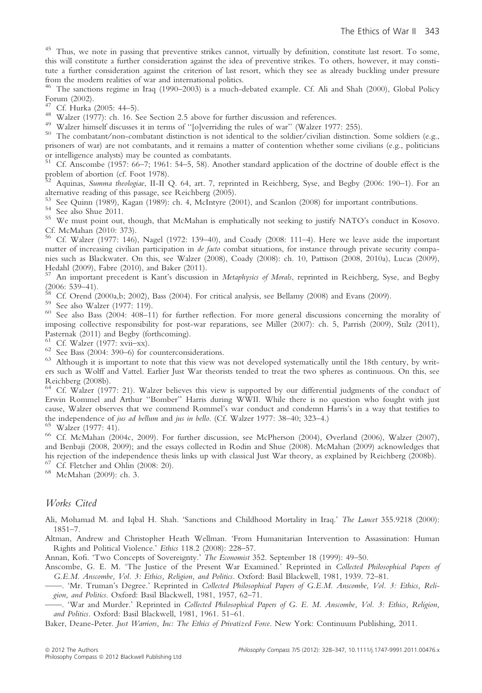<sup>45</sup> Thus, we note in passing that preventive strikes cannot, virtually by definition, constitute last resort. To some, this will constitute a further consideration against the idea of preventive strikes. To others, however, it may constitute a further consideration against the criterion of last resort, which they see as already buckling under pressure from the modern realities of war and international politics.

<sup>46</sup> The sanctions regime in Iraq (1990–2003) is a much-debated example. Cf. Ali and Shah (2000), Global Policy Forum (2002).<br><sup>47</sup> Cf. Hurka (2005: 44–5).

<sup>48</sup> Walzer (1977): ch. 16. See Section 2.5 above for further discussion and references.<br><sup>49</sup> Walzer himself discusses it in terms of "[o]verriding the rules of war" (Walzer 1977: 255).<br><sup>50</sup> The combatant/non-combatant di prisoners of war) are not combatants, and it remains a matter of contention whether some civilians (e.g., politicians

or intelligence analysts) may be counted as combatants.<br><sup>51</sup> Cf. Anscombe (1957: 66–7; 1961: 54–5, 58). Another standard application of the doctrine of double effect is the problem of abortion (cf. Foot 1978).

<sup>52</sup> Aquinas, Summa theologiae, II-II Q. 64, art. 7, reprinted in Reichberg, Syse, and Begby (2006: 190–1). For an

alternative reading of this passage, see Reichberg (2005).<br><sup>53</sup> See Quinn (1989), Kagan (1989): ch. 4, McIntyre (2001), and Scanlon (2008) for important contributions.

<sup>54</sup> See also Shue 2011.<br><sup>54</sup> See also Shue 2011.<br><sup>55</sup> We must point out, though, that McMahan is emphatically not seeking to justify NATO's conduct in Kosovo. Cf. McMahan (2010: 373).

<sup>56</sup> Cf. Walzer (1977: 146), Nagel (1972: 139–40), and Coady (2008: 111–4). Here we leave aside the important matter of increasing civilian participation in de facto combat situations, for instance through private security companies such as Blackwater. On this, see Walzer (2008), Coady (2008): ch. 10, Pattison (2008, 2010a), Lucas (2009), Hedahl (2009), Fabre (2010), and Baker (2011).

<sup>57</sup> An important precedent is Kant's discussion in Metaphysics of Morals, reprinted in Reichberg, Syse, and Begby (2006: 539–41).<br>
<sup>58</sup> Cf. Orend (2000a,b; 2002), Bass (2004). For critical analysis, see Bellamy (2008) and Evans (2009).

<sup>59</sup> See also Walzer (1977: 119).<br><sup>60</sup> See also Bass (2004: 408–11) for further reflection. For more general discussions concerning the morality of imposing collective responsibility for post-war reparations, see Miller (2007): ch. 5, Parrish (2009), Stilz (2011), Pasternak (2011) and Begby (forthcoming).

For See Bass (2004: 390–6) for counterconsiderations.<br>  $\frac{63}{2}$  Although it is important to note that this view was not developed systematically until the 18th century, by writers such as Wolff and Vattel. Earlier Just War theorists tended to treat the two spheres as continuous. On this, see Reichberg (2008b).

<sup>64</sup> Cf. Walzer (1977: 21). Walzer believes this view is supported by our differential judgments of the conduct of Erwin Rommel and Arthur ''Bomber'' Harris during WWII. While there is no question who fought with just cause, Walzer observes that we commend Rommel's war conduct and condemn Harris's in a way that testifies to the independence of *jus ad bellum* and *jus in bello*. (Cf. Walzer 1977: 38–40; 323–4.)

the independence of independence of  $\frac{65}{16}$  Walzer (1977: 41).<br>
66 Cf. McMahan (2004c, 2009). For further discussion, see McPherson (2004), Øverland (2006), Walzer (2007), and Benbaji (2008, 2009); and the essays collected in Rodin and Shue (2008). McMahan (2009) acknowledges that his rejection of the independence thesis links up with classical Just War theory, as explained by Reichberg (2008b).

<sup>67</sup> Cf. Fletcher and Ohlin (2008: 20).<br><sup>68</sup> McMahan (2009): ch. 3.

### Works Cited

Ali, Mohamad M. and Iqbal H. Shah. 'Sanctions and Childhood Mortality in Iraq.' The Lancet 355.9218 (2000): 1851–7.

Altman, Andrew and Christopher Heath Wellman. 'From Humanitarian Intervention to Assassination: Human Rights and Political Violence.' Ethics 118.2 (2008): 228–57.

Annan, Kofi. 'Two Concepts of Sovereignty.' The Economist 352. September 18 (1999): 49–50.

Anscombe, G. E. M. 'The Justice of the Present War Examined.' Reprinted in Collected Philosophical Papers of G.E.M. Anscombe, Vol. 3: Ethics, Religion, and Politics. Oxford: Basil Blackwell, 1981, 1939. 72–81.

——. 'Mr. Truman's Degree.' Reprinted in Collected Philosophical Papers of G.E.M. Anscombe, Vol. 3: Ethics, Religion, and Politics. Oxford: Basil Blackwell, 1981, 1957, 62–71.

——. 'War and Murder.' Reprinted in Collected Philosophical Papers of G. E. M. Anscombe, Vol. 3: Ethics, Religion, and Politics. Oxford: Basil Blackwell, 1981, 1961. 51–61.

Baker, Deane-Peter. Just Warriors, Inc: The Ethics of Privatized Force. New York: Continuum Publishing, 2011.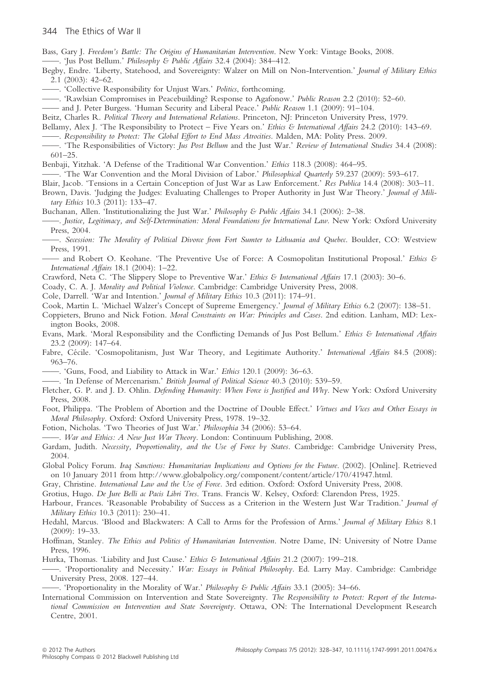Bass, Gary J. Freedom's Battle: The Origins of Humanitarian Intervention. New York: Vintage Books, 2008.

——. 'Jus Post Bellum.' Philosophy & Public Affairs 32.4 (2004): 384–412.

Begby, Endre. 'Liberty, Statehood, and Sovereignty: Walzer on Mill on Non-Intervention.' Journal of Military Ethics 2.1 (2003): 42–62.

——. 'Collective Responsibility for Unjust Wars.' Politics, forthcoming.

——. 'Rawlsian Compromises in Peacebuilding? Response to Agafonow.' Public Reason 2.2 (2010): 52–60.

—— and J. Peter Burgess. 'Human Security and Liberal Peace.' Public Reason 1.1 (2009): 91–104.

Beitz, Charles R. Political Theory and International Relations. Princeton, NJ: Princeton University Press, 1979.

Bellamy, Alex J. 'The Responsibility to Protect – Five Years on.' Ethics & International Affairs 24.2 (2010): 143–69.

——. Responsibility to Protect: The Global Effort to End Mass Atrocities. Malden, MA: Polity Press. 2009.

——. 'The Responsibilities of Victory: Jus Post Bellum and the Just War.' Review of International Studies 34.4 (2008): 601–25.

Benbaji, Yitzhak. 'A Defense of the Traditional War Convention.' Ethics 118.3 (2008): 464–95.

——. 'The War Convention and the Moral Division of Labor.' Philosophical Quarterly 59.237 (2009): 593–617.

Blair, Jacob. 'Tensions in a Certain Conception of Just War as Law Enforcement.' Res Publica 14.4 (2008): 303–11.

Brown, Davis. 'Judging the Judges: Evaluating Challenges to Proper Authority in Just War Theory.' Journal of Military Ethics 10.3 (2011): 133–47.

Buchanan, Allen. 'Institutionalizing the Just War.' Philosophy & Public Affairs 34.1 (2006): 2–38.

——. Justice, Legitimacy, and Self-Determination: Moral Foundations for International Law. New York: Oxford University Press, 2004.

——. Secession: The Morality of Political Divorce from Fort Sumter to Lithuania and Quebec. Boulder, CO: Westview Press, 1991.

- and Robert O. Keohane. 'The Preventive Use of Force: A Cosmopolitan Institutional Proposal.' Ethics & International Affairs 18.1 (2004): 1–22.

Crawford, Neta C. 'The Slippery Slope to Preventive War.' Ethics & International Affairs 17.1 (2003): 30–6.

Coady, C. A. J. Morality and Political Violence. Cambridge: Cambridge University Press, 2008.

Cole, Darrell. 'War and Intention.' Journal of Military Ethics 10.3 (2011): 174–91.

Cook, Martin L. 'Michael Walzer's Concept of Supreme Emergency.' Journal of Military Ethics 6.2 (2007): 138–51.

Coppieters, Bruno and Nick Fotion. Moral Constraints on War: Principles and Cases. 2nd edition. Lanham, MD: Lexington Books, 2008.

- Evans, Mark. 'Moral Responsibility and the Conflicting Demands of Jus Post Bellum.' Ethics & International Affairs 23.2 (2009): 147–64.
- Fabre, Cécile. 'Cosmopolitanism, Just War Theory, and Legitimate Authority.' International Affairs 84.5 (2008): 963–76.

——. 'Guns, Food, and Liability to Attack in War.' Ethics 120.1 (2009): 36–63.

——. 'In Defense of Mercenarism.' British Journal of Political Science 40.3 (2010): 539–59.

- Fletcher, G. P. and J. D. Ohlin. Defending Humanity: When Force is Justified and Why. New York: Oxford University Press, 2008.
- Foot, Philippa. 'The Problem of Abortion and the Doctrine of Double Effect.' Virtues and Vices and Other Essays in Moral Philosophy. Oxford: Oxford University Press, 1978. 19–32.

Fotion, Nicholas. 'Two Theories of Just War.' Philosophia 34 (2006): 53–64.

——. War and Ethics: A New Just War Theory. London: Continuum Publishing, 2008.

Gardam, Judith. Necessity, Proportionality, and the Use of Force by States. Cambridge: Cambridge University Press, 2004.

Global Policy Forum. Iraq Sanctions: Humanitarian Implications and Options for the Future. (2002). [Online]. Retrieved on 10 January 2011 from http://www.globalpolicy.org/component/content/article/170/41947.html.

Gray, Christine. International Law and the Use of Force. 3rd edition. Oxford: Oxford University Press, 2008.

Grotius, Hugo. De Jure Belli ac Pacis Libri Tres. Trans. Francis W. Kelsey, Oxford: Clarendon Press, 1925.

Harbour, Frances. 'Reasonable Probability of Success as a Criterion in the Western Just War Tradition.' Journal of Military Ethics 10.3 (2011): 230–41.

Hedahl, Marcus. 'Blood and Blackwaters: A Call to Arms for the Profession of Arms.' Journal of Military Ethics 8.1 (2009): 19–33.

Hoffman, Stanley. The Ethics and Politics of Humanitarian Intervention. Notre Dame, IN: University of Notre Dame Press, 1996.

Hurka, Thomas. 'Liability and Just Cause.' Ethics & International Affairs 21.2 (2007): 199-218.

——. 'Proportionality and Necessity.' War: Essays in Political Philosophy. Ed. Larry May. Cambridge: Cambridge University Press, 2008. 127–44.

——. 'Proportionality in the Morality of War.' Philosophy & Public Affairs 33.1 (2005): 34–66.

International Commission on Intervention and State Sovereignty. The Responsibility to Protect: Report of the International Commission on Intervention and State Sovereignty. Ottawa, ON: The International Development Research Centre, 2001.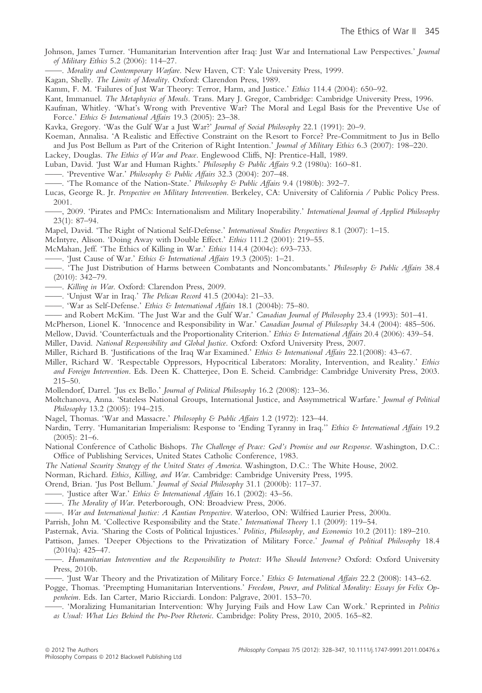- Johnson, James Turner. 'Humanitarian Intervention after Iraq: Just War and International Law Perspectives.' Journal of Military Ethics 5.2 (2006): 114–27.
- ——. Morality and Contemporary Warfare. New Haven, CT: Yale University Press, 1999.
- Kagan, Shelly. The Limits of Morality. Oxford: Clarendon Press, 1989.
- Kamm, F. M. 'Failures of Just War Theory: Terror, Harm, and Justice.' Ethics 114.4 (2004): 650–92.
- Kant, Immanuel. The Metaphysics of Morals. Trans. Mary J. Gregor, Cambridge: Cambridge University Press, 1996.
- Kaufman, Whitley. 'What's Wrong with Preventive War? The Moral and Legal Basis for the Preventive Use of Force.' Ethics & International Affairs 19.3 (2005): 23–38.
- Kavka, Gregory. 'Was the Gulf War a Just War?' Journal of Social Philosophy 22.1 (1991): 20–9.
- Koeman, Annalisa. 'A Realistic and Effective Constraint on the Resort to Force? Pre-Commitment to Jus in Bello and Jus Post Bellum as Part of the Criterion of Right Intention.' Journal of Military Ethics 6.3 (2007): 198–220.
- Lackey, Douglas. The Ethics of War and Peace. Englewood Cliffs, NJ: Prentice-Hall, 1989.
- Luban, David. 'Just War and Human Rights.' Philosophy & Public Affairs 9.2 (1980a): 160–81.
- ——. 'Preventive War.' Philosophy & Public Affairs 32.3 (2004): 207–48.
- ——. 'The Romance of the Nation-State.' *Philosophy & Public Affairs* 9.4 (1980b): 392–7.
- Lucas, George R. Jr. Perspective on Military Intervention. Berkeley, CA: University of California ⁄ Public Policy Press. 2001.
- -, 2009. 'Pirates and PMCs: Internationalism and Military Inoperability.' International Journal of Applied Philosophy 23(1): 87–94.
- Mapel, David. 'The Right of National Self-Defense.' International Studies Perspectives 8.1 (2007): 1–15.
- McIntyre, Alison. 'Doing Away with Double Effect.' Ethics 111.2 (2001): 219–55.
- McMahan, Jeff. 'The Ethics of Killing in War.' Ethics 114.4 (2004c): 693–733.
- ——. 'Just Cause of War.' Ethics & International Affairs 19.3 (2005): 1–21.
- —. 'The Just Distribution of Harms between Combatants and Noncombatants.' Philosophy & Public Affairs 38.4 (2010): 342–79.
- ——. Killing in War. Oxford: Clarendon Press, 2009.
- ——. 'Unjust War in Iraq.' The Pelican Record 41.5 (2004a): 21–33.
- ——. 'War as Self-Defense.' Ethics & International Affairs 18.1 (2004b): 75–80.
- —— and Robert McKim. 'The Just War and the Gulf War.' Canadian Journal of Philosophy 23.4 (1993): 501–41.
- McPherson, Lionel K. 'Innocence and Responsibility in War.' Canadian Journal of Philosophy 34.4 (2004): 485–506.
- Mellow, David. 'Counterfactuals and the Proportionality Criterion.' Ethics & International Affairs 20.4 (2006): 439–54.
- Miller, David. National Responsibility and Global Justice. Oxford: Oxford University Press, 2007.
- Miller, Richard B. 'Justifications of the Iraq War Examined.' Ethics & International Affairs 22.1(2008): 43-67.
- Miller, Richard W. 'Respectable Oppressors, Hypocritical Liberators: Morality, Intervention, and Reality.' Ethics and Foreign Intervention. Eds. Deen K. Chatterjee, Don E. Scheid. Cambridge: Cambridge University Press, 2003. 215–50.
- Mollendorf, Darrel. 'Jus ex Bello.' Journal of Political Philosophy 16.2 (2008): 123–36.
- Moltchanova, Anna. 'Stateless National Groups, International Justice, and Assymmetrical Warfare.' Journal of Political Philosophy 13.2 (2005): 194–215.
- Nagel, Thomas. 'War and Massacre.' Philosophy & Public Affairs 1.2 (1972): 123–44.
- Nardin, Terry. 'Humanitarian Imperialism: Response to 'Ending Tyranny in Iraq.'' Ethics & International Affairs 19.2 (2005): 21–6.
- National Conference of Catholic Bishops. The Challenge of Peace: God's Promise and our Response. Washington, D.C.: Office of Publishing Services, United States Catholic Conference, 1983.
- The National Security Strategy of the United States of America. Washington, D.C.: The White House, 2002.
- Norman, Richard. Ethics, Killing, and War. Cambridge: Cambridge University Press, 1995.
- Orend, Brian. 'Jus Post Bellum.' Journal of Social Philosophy 31.1 (2000b): 117–37.
- ——. 'Justice after War.' Ethics & International Affairs 16.1 (2002): 43–56.
- ——. The Morality of War. Peterborough, ON: Broadview Press, 2006.
- ——. War and International Justice: A Kantian Perspective. Waterloo, ON: Wilfried Laurier Press, 2000a.

Parrish, John M. 'Collective Responsibility and the State.' International Theory 1.1 (2009): 119–54.

- Pasternak, Avia. 'Sharing the Costs of Political Injustices.' Politics, Philosophy, and Economics 10.2 (2011): 189–210.
- Pattison, James. 'Deeper Objections to the Privatization of Military Force.' Journal of Political Philosophy 18.4 (2010a): 425–47.
	- ——. Humanitarian Intervention and the Responsibility to Protect: Who Should Intervene? Oxford: Oxford University Press, 2010b.
- ——. 'Just War Theory and the Privatization of Military Force.' Ethics & International Affairs 22.2 (2008): 143–62.
- Pogge, Thomas. 'Preempting Humanitarian Interventions.' Freedom, Power, and Political Morality: Essays for Felix Oppenheim. Eds. Ian Carter, Mario Ricciardi. London: Palgrave, 2001. 153–70.
- ——. 'Moralizing Humanitarian Intervention: Why Jurying Fails and How Law Can Work.' Reprinted in Politics as Usual: What Lies Behind the Pro-Poor Rhetoric. Cambridge: Polity Press, 2010, 2005. 165–82.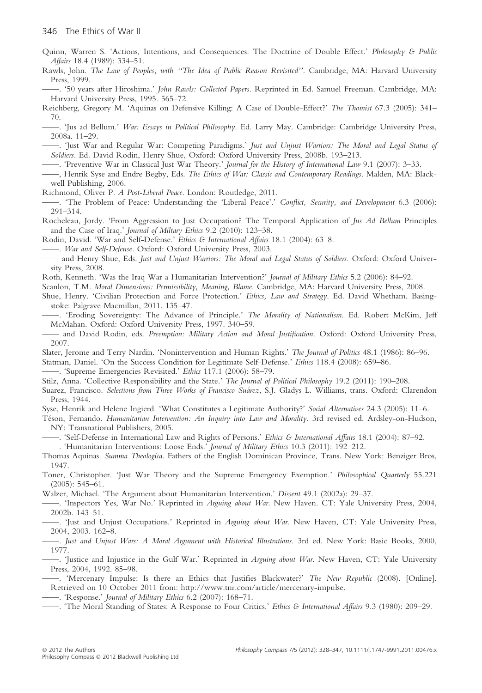Quinn, Warren S. 'Actions, Intentions, and Consequences: The Doctrine of Double Effect.' Philosophy & Public Affairs 18.4 (1989): 334–51.

Rawls, John. The Law of Peoples, with ''The Idea of Public Reason Revisited''. Cambridge, MA: Harvard University Press, 1999.

——. '50 years after Hiroshima.' John Rawls: Collected Papers. Reprinted in Ed. Samuel Freeman. Cambridge, MA: Harvard University Press, 1995. 565–72.

Reichberg, Gregory M. 'Aquinas on Defensive Killing: A Case of Double-Effect?' The Thomist 67.3 (2005): 341– 70.

——. 'Jus ad Bellum.' War: Essays in Political Philosophy. Ed. Larry May. Cambridge: Cambridge University Press, 2008a. 11–29.

——. 'Just War and Regular War: Competing Paradigms.' Just and Unjust Warriors: The Moral and Legal Status of Soldiers. Ed. David Rodin, Henry Shue, Oxford: Oxford University Press, 2008b. 193–213.

——. 'Preventive War in Classical Just War Theory.' Journal for the History of International Law 9.1 (2007): 3–33.

——, Henrik Syse and Endre Begby, Eds. The Ethics of War: Classic and Contemporary Readings. Malden, MA: Blackwell Publishing, 2006.

Richmond, Oliver P. A Post-Liberal Peace. London: Routledge, 2011.

——. 'The Problem of Peace: Understanding the 'Liberal Peace'.' Conflict, Security, and Development 6.3 (2006): 291–314.

Rocheleau, Jordy. 'From Aggression to Just Occupation? The Temporal Application of Jus Ad Bellum Principles and the Case of Iraq.' Journal of Miltary Ethics 9.2 (2010): 123–38.

Rodin, David. 'War and Self-Defense.' Ethics & International Affairs 18.1 (2004): 63–8.

——. War and Self-Defense. Oxford: Oxford University Press, 2003.

—— and Henry Shue, Eds. Just and Unjust Warriors: The Moral and Legal Status of Soldiers. Oxford: Oxford University Press, 2008.

Roth, Kenneth. 'Was the Iraq War a Humanitarian Intervention?' Journal of Military Ethics 5.2 (2006): 84–92.

Scanlon, T.M. Moral Dimensions: Permissibility, Meaning, Blame. Cambridge, MA: Harvard University Press, 2008.

Shue, Henry. 'Civilian Protection and Force Protection.' Ethics, Law and Strategy. Ed. David Whetham. Basingstoke: Palgrave Macmillan, 2011. 135–47.

——. 'Eroding Sovereignty: The Advance of Principle.' The Morality of Nationalism. Ed. Robert McKim, Jeff McMahan. Oxford: Oxford University Press, 1997. 340–59.

—— and David Rodin, eds. Preemption: Military Action and Moral Justification. Oxford: Oxford University Press, 2007.

Slater, Jerome and Terry Nardin. 'Nonintervention and Human Rights.' The Journal of Politics 48.1 (1986): 86–96.

Statman, Daniel. 'On the Success Condition for Legitimate Self-Defense.' Ethics 118.4 (2008): 659–86.

——. 'Supreme Emergencies Revisited.' Ethics 117.1 (2006): 58–79.

Stilz, Anna. 'Collective Responsibility and the State.' The Journal of Political Philosophy 19.2 (2011): 190–208.

Suarez, Francisco. Selections from Three Works of Francisco Suárez, S.J. Gladys L. Williams, trans. Oxford: Clarendon Press, 1944.

Syse, Henrik and Helene Ingierd. 'What Constitutes a Legitimate Authority?' Social Alternatives 24.3 (2005): 11–6.

Téson, Fernando. Humanitarian Intervention: An Inquiry into Law and Morality. 3rd revised ed. Ardsley-on-Hudson, NY: Transnational Publishers, 2005.

——. 'Self-Defense in International Law and Rights of Persons.' Ethics & International Affairs 18.1 (2004): 87–92.

——. 'Humanitarian Interventions: Loose Ends.' Journal of Military Ethics 10.3 (2011): 192–212.

Thomas Aquinas. Summa Theologica. Fathers of the English Dominican Province, Trans. New York: Benziger Bros, 1947.

Toner, Christopher. 'Just War Theory and the Supreme Emergency Exemption.' Philosophical Quarterly 55.221 (2005): 545–61.

Walzer, Michael. 'The Argument about Humanitarian Intervention.' Dissent 49.1 (2002a): 29–37.

——. 'Inspectors Yes, War No.' Reprinted in Arguing about War. New Haven. CT: Yale University Press, 2004, 2002b. 143–51.

——. 'Just and Unjust Occupations.' Reprinted in Arguing about War. New Haven, CT: Yale University Press, 2004, 2003. 162–8.

——. Just and Unjust Wars: A Moral Argument with Historical Illustrations. 3rd ed. New York: Basic Books, 2000, 1977.

——. 'Justice and Injustice in the Gulf War.' Reprinted in Arguing about War. New Haven, CT: Yale University Press, 2004, 1992. 85–98.

——. 'Mercenary Impulse: Is there an Ethics that Justifies Blackwater?' The New Republic (2008). [Online]. Retrieved on 10 October 2011 from: http://www.tnr.com/article/mercenary-impulse.

——. 'Response.' Journal of Military Ethics 6.2 (2007): 168–71.

——. 'The Moral Standing of States: A Response to Four Critics.' Ethics & International Affairs 9.3 (1980): 209–29.